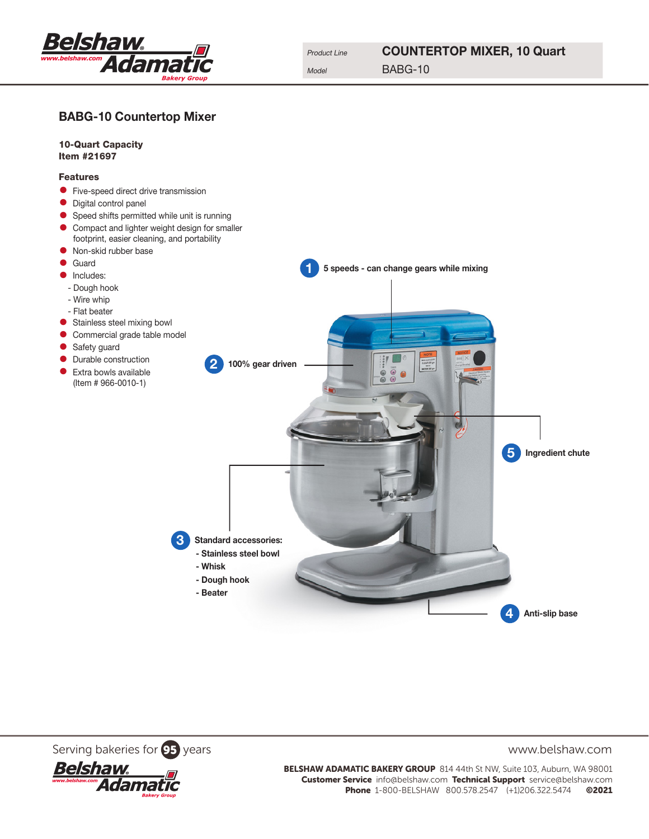

## BABG-10 Countertop Mixer



Serving bakeries for **95** years www.belshaw.com



BELSHAW ADAMATIC BAKERY GROUP 814 44th St NW, Suite 103, Auburn, WA 98001 Customer Service info@belshaw.com Technical Support service@belshaw.com Phone 1-800-BELSHAW 800.578.2547 (+1)206.322.5474 ©2021